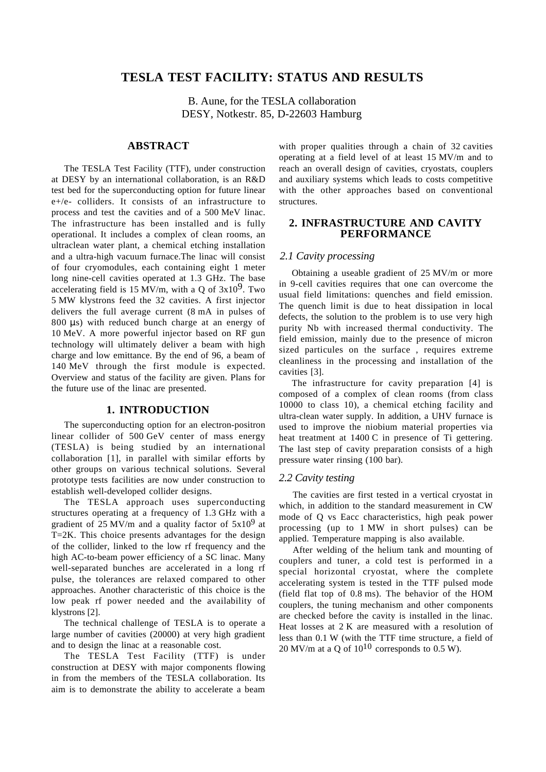# **TESLA TEST FACILITY: STATUS AND RESULTS**

B. Aune, for the TESLA collaboration DESY, Notkestr. 85, D-22603 Hamburg

# **ABSTRACT**

The TESLA Test Facility (TTF), under construction at DESY by an international collaboration, is an R&D test bed for the superconducting option for future linear e+/e- colliders. It consists of an infrastructure to process and test the cavities and of a 500 MeV linac. The infrastructure has been installed and is fully operational. It includes a complex of clean rooms, an ultraclean water plant, a chemical etching installation and a ultra-high vacuum furnace.The linac will consist of four cryomodules, each containing eight 1 meter long nine-cell cavities operated at 1.3 GHz. The base accelerating field is 15 MV/m, with a Q of  $3x10^9$ . Two 5 MW klystrons feed the 32 cavities. A first injector delivers the full average current (8 mA in pulses of 800  $\mu$ s) with reduced bunch charge at an energy of 10 MeV. A more powerful injector based on RF gun technology will ultimately deliver a beam with high charge and low emittance. By the end of 96, a beam of 140 MeV through the first module is expected. Overview and status of the facility are given. Plans for the future use of the linac are presented.

### **1. INTRODUCTION**

The superconducting option for an electron-positron linear collider of 500 GeV center of mass energy (TESLA) is being studied by an international collaboration [1], in parallel with similar efforts by other groups on various technical solutions. Several prototype tests facilities are now under construction to establish well-developed collider designs.

The TESLA approach uses superconducting structures operating at a frequency of 1.3 GHz with a gradient of 25 MV/m and a quality factor of  $5x10^9$  at T=2K. This choice presents advantages for the design of the collider, linked to the low rf frequency and the high AC-to-beam power efficiency of a SC linac. Many well-separated bunches are accelerated in a long rf pulse, the tolerances are relaxed compared to other approaches. Another characteristic of this choice is the low peak rf power needed and the availability of klystrons [2].

The technical challenge of TESLA is to operate a large number of cavities (20000) at very high gradient and to design the linac at a reasonable cost.

The TESLA Test Facility (TTF) is under construction at DESY with major components flowing in from the members of the TESLA collaboration. Its aim is to demonstrate the ability to accelerate a beam with proper qualities through a chain of 32 cavities operating at a field level of at least 15 MV/m and to reach an overall design of cavities, cryostats, couplers and auxiliary systems which leads to costs competitive with the other approaches based on conventional structures.

# **2. INFRASTRUCTURE AND CAVITY PERFORMANCE**

## *2.1 Cavity processing*

Obtaining a useable gradient of 25 MV/m or more in 9-cell cavities requires that one can overcome the usual field limitations: quenches and field emission. The quench limit is due to heat dissipation in local defects, the solution to the problem is to use very high purity Nb with increased thermal conductivity. The field emission, mainly due to the presence of micron sized particules on the surface, requires extreme cleanliness in the processing and installation of the cavities [3].

The infrastructure for cavity preparation [4] is composed of a complex of clean rooms (from class 10000 to class 10), a chemical etching facility and ultra-clean water supply. In addition, a UHV furnace is used to improve the niobium material properties via heat treatment at 1400 C in presence of Ti gettering. The last step of cavity preparation consists of a high pressure water rinsing (100 bar).

### *2.2 Cavity testing*

The cavities are first tested in a vertical cryostat in which, in addition to the standard measurement in CW mode of Q vs Eacc characteristics, high peak power processing (up to 1 MW in short pulses) can be applied. Temperature mapping is also available.

After welding of the helium tank and mounting of couplers and tuner, a cold test is performed in a special horizontal cryostat, where the complete accelerating system is tested in the TTF pulsed mode (field flat top of 0.8 ms). The behavior of the HOM couplers, the tuning mechanism and other components are checked before the cavity is installed in the linac. Heat losses at 2 K are measured with a resolution of less than 0.1 W (with the TTF time structure, a field of 20 MV/m at a Q of  $10^{10}$  corresponds to 0.5 W).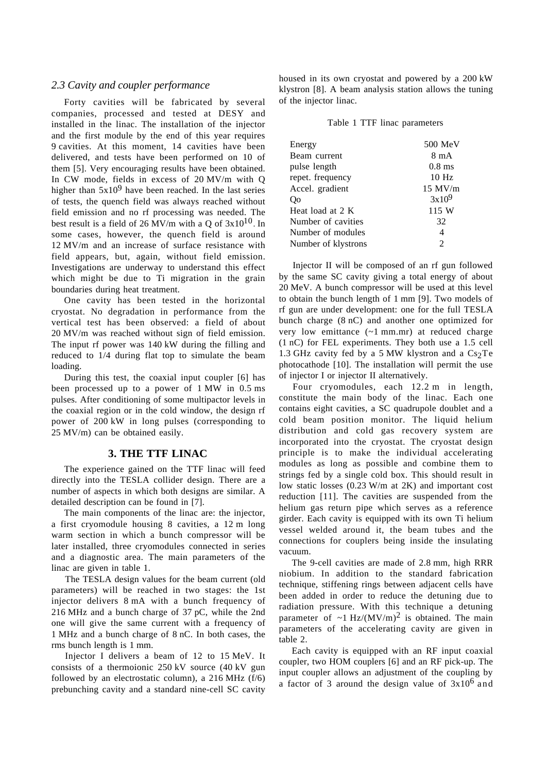### *2.3 Cavity and coupler performance*

Forty cavities will be fabricated by several companies, processed and tested at DESY and installed in the linac. The installation of the injector and the first module by the end of this year requires 9 cavities. At this moment, 14 cavities have been delivered, and tests have been performed on 10 of them [5]. Very encouraging results have been obtained. In CW mode, fields in excess of 20 MV/m with Q higher than  $5x10<sup>9</sup>$  have been reached. In the last series of tests, the quench field was always reached without field emission and no rf processing was needed. The best result is a field of 26 MV/m with a Q of  $3x10^{10}$ . In some cases, however, the quench field is around 12 MV/m and an increase of surface resistance with field appears, but, again, without field emission. Investigations are underway to understand this effect which might be due to Ti migration in the grain boundaries during heat treatment.

One cavity has been tested in the horizontal cryostat. No degradation in performance from the vertical test has been observed: a field of about 20 MV/m was reached without sign of field emission. The input rf power was 140 kW during the filling and reduced to 1/4 during flat top to simulate the beam loading.

During this test, the coaxial input coupler [6] has been processed up to a power of 1 MW in 0.5 ms pulses. After conditioning of some multipactor levels in the coaxial region or in the cold window, the design rf power of 200 kW in long pulses (corresponding to 25 MV/m) can be obtained easily.

### **3. THE TTF LINAC**

The experience gained on the TTF linac will feed directly into the TESLA collider design. There are a number of aspects in which both designs are similar. A detailed description can be found in [7].

The main components of the linac are: the injector, a first cryomodule housing 8 cavities, a 12 m long warm section in which a bunch compressor will be later installed, three cryomodules connected in series and a diagnostic area. The main parameters of the linac are given in table 1.

The TESLA design values for the beam current (old parameters) will be reached in two stages: the 1st injector delivers 8 mA with a bunch frequency of 216 MHz and a bunch charge of 37 pC, while the 2nd one will give the same current with a frequency of 1 MHz and a bunch charge of 8 nC. In both cases, the rms bunch length is 1 mm.

Injector I delivers a beam of 12 to 15 MeV. It consists of a thermoionic 250 kV source (40 kV gun followed by an electrostatic column), a 216 MHz (f/6) prebunching cavity and a standard nine-cell SC cavity

housed in its own cryostat and powered by a 200 kW klystron [8]. A beam analysis station allows the tuning of the injector linac.

| Table 1 TTF linac parameters |  |  |
|------------------------------|--|--|
|------------------------------|--|--|

| Energy              | $500$ MeV      |
|---------------------|----------------|
| Beam current        | 8 m A          |
| pulse length        | $0.8$ ms       |
| repet. frequency    | $10$ Hz        |
| Accel. gradient     | $15$ MV/m      |
| Qo                  | $3x10^9$       |
| Heat load at 2 K    | 115 W          |
| Number of cavities  | 32             |
| Number of modules   | 4              |
| Number of klystrons | $\mathfrak{D}$ |
|                     |                |

Injector II will be composed of an rf gun followed by the same SC cavity giving a total energy of about 20 MeV. A bunch compressor will be used at this level to obtain the bunch length of 1 mm [9]. Two models of rf gun are under development: one for the full TESLA bunch charge (8 nC) and another one optimized for very low emittance (~1 mm.mr) at reduced charge (1 nC) for FEL experiments. They both use a 1.5 cell 1.3 GHz cavity fed by a 5 MW klystron and a  $Cs<sub>2</sub>Te$ photocathode [10]. The installation will permit the use of injector I or injector II alternatively.

Four cryomodules, each 12.2 m in length, constitute the main body of the linac. Each one contains eight cavities, a SC quadrupole doublet and a cold beam position monitor. The liquid helium distribution and cold gas recovery system are incorporated into the cryostat. The cryostat design principle is to make the individual accelerating modules as long as possible and combine them to strings fed by a single cold box. This should result in low static losses (0.23 W/m at 2K) and important cost reduction [11]. The cavities are suspended from the helium gas return pipe which serves as a reference girder. Each cavity is equipped with its own Ti helium vessel welded around it, the beam tubes and the connections for couplers being inside the insulating vacuum.

The 9-cell cavities are made of 2.8 mm, high RRR niobium. In addition to the standard fabrication technique, stiffening rings between adjacent cells have been added in order to reduce the detuning due to radiation pressure. With this technique a detuning parameter of  $\sim$ 1 Hz/(MV/m)<sup>2</sup> is obtained. The main parameters of the accelerating cavity are given in table 2.

Each cavity is equipped with an RF input coaxial coupler, two HOM couplers [6] and an RF pick-up. The input coupler allows an adjustment of the coupling by a factor of 3 around the design value of  $3x10^6$  and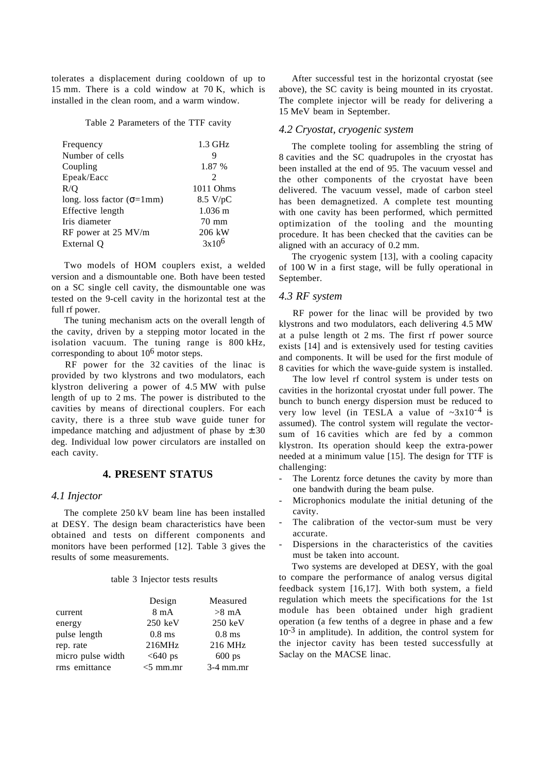tolerates a displacement during cooldown of up to 15 mm. There is a cold window at 70 K, which is installed in the clean room, and a warm window.

Table 2 Parameters of the TTF cavity

| Frequency                          | $1.3$ GHz             |
|------------------------------------|-----------------------|
| Number of cells                    |                       |
| Coupling                           | 1.87 %                |
| Epeak/Eacc                         | $\mathfrak{D}$        |
| R/O                                | 1011 Ohms             |
| long. loss factor ( $\sigma$ =1mm) | $8.5 \text{ V/pC}$    |
| Effective length                   | $1.036 \; \mathrm{m}$ |
| Iris diameter                      | $70 \text{ mm}$       |
| RF power at 25 MV/m                | 206 kW                |
| External Q                         | $3x10^6$              |

Two models of HOM couplers exist, a welded version and a dismountable one. Both have been tested on a SC single cell cavity, the dismountable one was tested on the 9-cell cavity in the horizontal test at the full rf power.

The tuning mechanism acts on the overall length of the cavity, driven by a stepping motor located in the isolation vacuum. The tuning range is 800 kHz, corresponding to about 106 motor steps.

RF power for the 32 cavities of the linac is provided by two klystrons and two modulators, each klystron delivering a power of 4.5 MW with pulse length of up to 2 ms. The power is distributed to the cavities by means of directional couplers. For each cavity, there is a three stub wave guide tuner for impedance matching and adjustment of phase by  $\pm 30$ deg. Individual low power circulators are installed on each cavity.

# **4. PRESENT STATUS**

### *4.1 Injector*

The complete 250 kV beam line has been installed at DESY. The design beam characteristics have been obtained and tests on different components and monitors have been performed [12]. Table 3 gives the results of some measurements.

#### table 3 Injector tests results

|                   | Design            | Measured          |
|-------------------|-------------------|-------------------|
| current           | $8 \text{ mA}$    | $>8$ mA           |
| energy            | $250 \text{ keV}$ | $250 \text{ keV}$ |
| pulse length      | $0.8$ ms          | $0.8$ ms          |
| rep. rate         | 216MHz            | 216 MHz           |
| micro pulse width | $<640$ ps         | $600$ ps          |
| rms emittance     | $<$ 5 mm.mr       | $3-4$ mm.mr       |

After successful test in the horizontal cryostat (see above), the SC cavity is being mounted in its cryostat. The complete injector will be ready for delivering a 15 MeV beam in September.

# *4.2 Cryostat, cryogenic system*

The complete tooling for assembling the string of 8 cavities and the SC quadrupoles in the cryostat has been installed at the end of 95. The vacuum vessel and the other components of the cryostat have been delivered. The vacuum vessel, made of carbon steel has been demagnetized. A complete test mounting with one cavity has been performed, which permitted optimization of the tooling and the mounting procedure. It has been checked that the cavities can be aligned with an accuracy of 0.2 mm.

The cryogenic system [13], with a cooling capacity of 100 W in a first stage, will be fully operational in September.

# *4.3 RF system*

RF power for the linac will be provided by two klystrons and two modulators, each delivering 4.5 MW at a pulse length ot 2 ms. The first rf power source exists [14] and is extensively used for testing cavities and components. It will be used for the first module of 8 cavities for which the wave-guide system is installed.

The low level rf control system is under tests on cavities in the horizontal cryostat under full power. The bunch to bunch energy dispersion must be reduced to very low level (in TESLA a value of  $\sim 3x10^{-4}$  is assumed). The control system will regulate the vectorsum of 16 cavities which are fed by a common klystron. Its operation should keep the extra-power needed at a minimum value [15]. The design for TTF is challenging:

- The Lorentz force detunes the cavity by more than one bandwith during the beam pulse.
- Microphonics modulate the initial detuning of the cavity.
- The calibration of the vector-sum must be very accurate.
- Dispersions in the characteristics of the cavities must be taken into account.

Two systems are developed at DESY, with the goal to compare the performance of analog versus digital feedback system [16,17]. With both system, a field regulation which meets the specifications for the 1st module has been obtained under high gradient operation (a few tenths of a degree in phase and a few  $10^{-3}$  in amplitude). In addition, the control system for the injector cavity has been tested successfully at Saclay on the MACSE linac.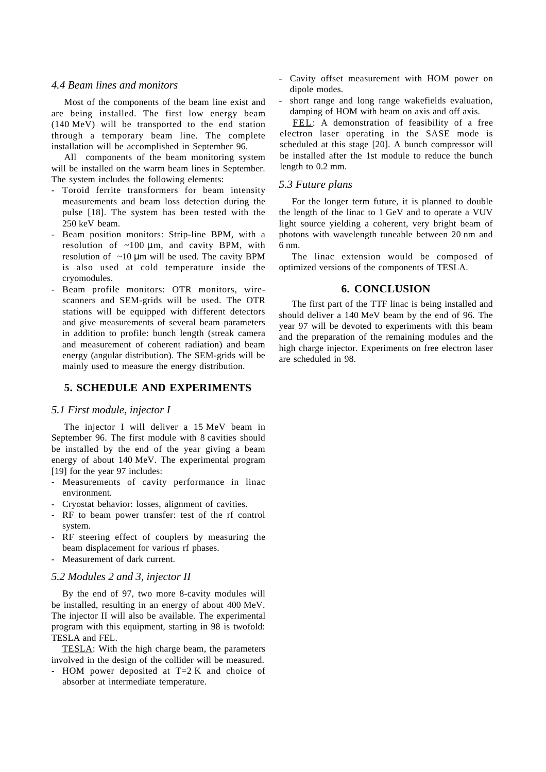# *4.4 Beam lines and monitors*

Most of the components of the beam line exist and are being installed. The first low energy beam (140 MeV) will be transported to the end station through a temporary beam line. The complete installation will be accomplished in September 96.

All components of the beam monitoring system will be installed on the warm beam lines in September. The system includes the following elements:

- Toroid ferrite transformers for beam intensity measurements and beam loss detection during the pulse [18]. The system has been tested with the 250 keV beam.
- Beam position monitors: Strip-line BPM, with a resolution of  $\sim 100 \mu \text{m}$ , and cavity BPM, with resolution of  $\sim 10 \mu m$  will be used. The cavity BPM is also used at cold temperature inside the cryomodules.
- Beam profile monitors: OTR monitors, wirescanners and SEM-grids will be used. The OTR stations will be equipped with different detectors and give measurements of several beam parameters in addition to profile: bunch length (streak camera and measurement of coherent radiation) and beam energy (angular distribution). The SEM-grids will be mainly used to measure the energy distribution.

# **5. SCHEDULE AND EXPERIMENTS**

### *5.1 First module, injector I*

The injector I will deliver a 15 MeV beam in September 96. The first module with 8 cavities should be installed by the end of the year giving a beam energy of about 140 MeV. The experimental program [19] for the year 97 includes:

- Measurements of cavity performance in linac environment.
- Cryostat behavior: losses, alignment of cavities.
- RF to beam power transfer: test of the rf control system.
- RF steering effect of couplers by measuring the beam displacement for various rf phases.
- Measurement of dark current.

### *5.2 Modules 2 and 3, injector II*

By the end of 97, two more 8-cavity modules will be installed, resulting in an energy of about 400 MeV. The injector II will also be available. The experimental program with this equipment, starting in 98 is twofold: TESLA and FEL.

TESLA: With the high charge beam, the parameters involved in the design of the collider will be measured.

- HOM power deposited at T=2 K and choice of absorber at intermediate temperature.

- Cavity offset measurement with HOM power on dipole modes.
- short range and long range wakefields evaluation, damping of HOM with beam on axis and off axis.

FEL: A demonstration of feasibility of a free electron laser operating in the SASE mode is scheduled at this stage [20]. A bunch compressor will be installed after the 1st module to reduce the bunch length to 0.2 mm.

### *5.3 Future plans*

For the longer term future, it is planned to double the length of the linac to 1 GeV and to operate a VUV light source yielding a coherent, very bright beam of photons with wavelength tuneable between 20 nm and 6 nm.

The linac extension would be composed of optimized versions of the components of TESLA.

# **6. CONCLUSION**

The first part of the TTF linac is being installed and should deliver a 140 MeV beam by the end of 96. The year 97 will be devoted to experiments with this beam and the preparation of the remaining modules and the high charge injector. Experiments on free electron laser are scheduled in 98.